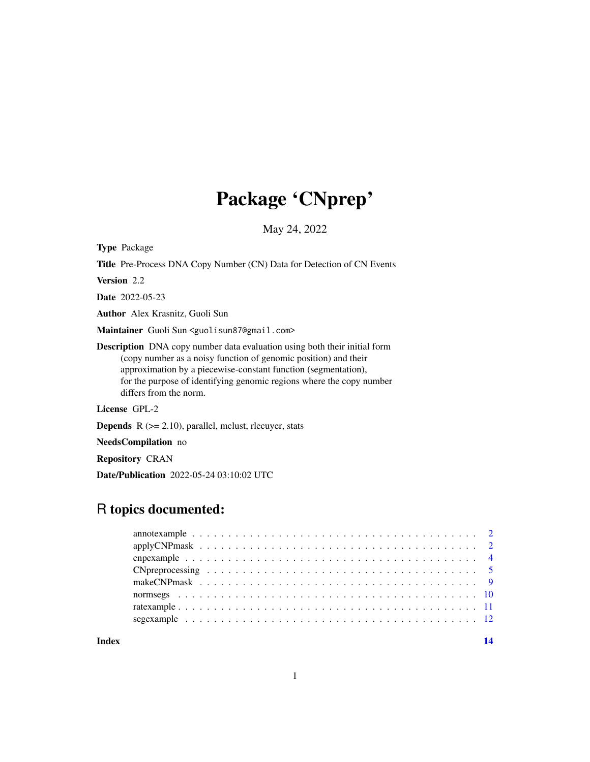# Package 'CNprep'

May 24, 2022

Type Package

Title Pre-Process DNA Copy Number (CN) Data for Detection of CN Events

Version 2.2

Date 2022-05-23

Author Alex Krasnitz, Guoli Sun

Maintainer Guoli Sun <guolisun87@gmail.com>

Description DNA copy number data evaluation using both their initial form (copy number as a noisy function of genomic position) and their approximation by a piecewise-constant function (segmentation), for the purpose of identifying genomic regions where the copy number differs from the norm.

License GPL-2

**Depends**  $R$  ( $>= 2.10$ ), parallel, mclust, rlecuyer, stats

NeedsCompilation no

Repository CRAN

Date/Publication 2022-05-24 03:10:02 UTC

# R topics documented:

**Index** 2008 **[14](#page-13-0)**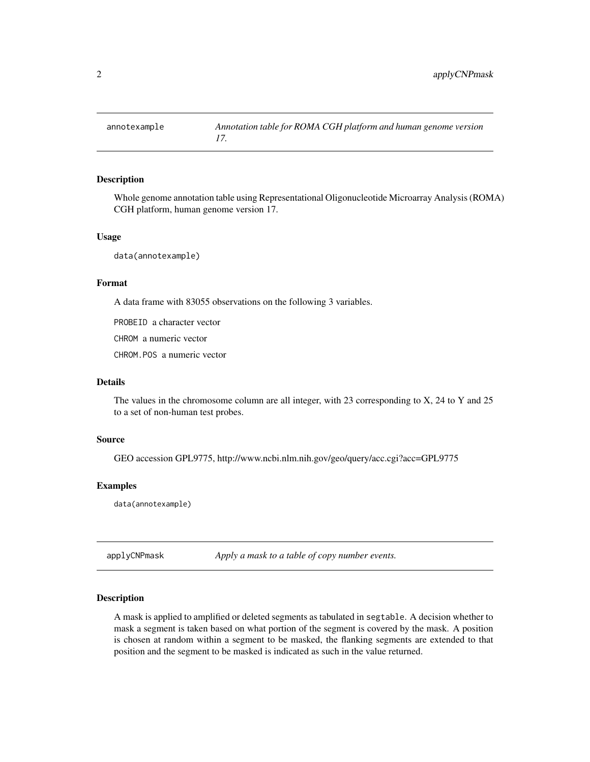<span id="page-1-0"></span>

Whole genome annotation table using Representational Oligonucleotide Microarray Analysis (ROMA) CGH platform, human genome version 17.

#### Usage

data(annotexample)

#### Format

A data frame with 83055 observations on the following 3 variables.

PROBEID a character vector

CHROM a numeric vector

CHROM.POS a numeric vector

#### Details

The values in the chromosome column are all integer, with 23 corresponding to X, 24 to Y and 25 to a set of non-human test probes.

#### Source

GEO accession GPL9775, http://www.ncbi.nlm.nih.gov/geo/query/acc.cgi?acc=GPL9775

#### Examples

data(annotexample)

applyCNPmask *Apply a mask to a table of copy number events.*

#### Description

A mask is applied to amplified or deleted segments as tabulated in segtable. A decision whether to mask a segment is taken based on what portion of the segment is covered by the mask. A position is chosen at random within a segment to be masked, the flanking segments are extended to that position and the segment to be masked is indicated as such in the value returned.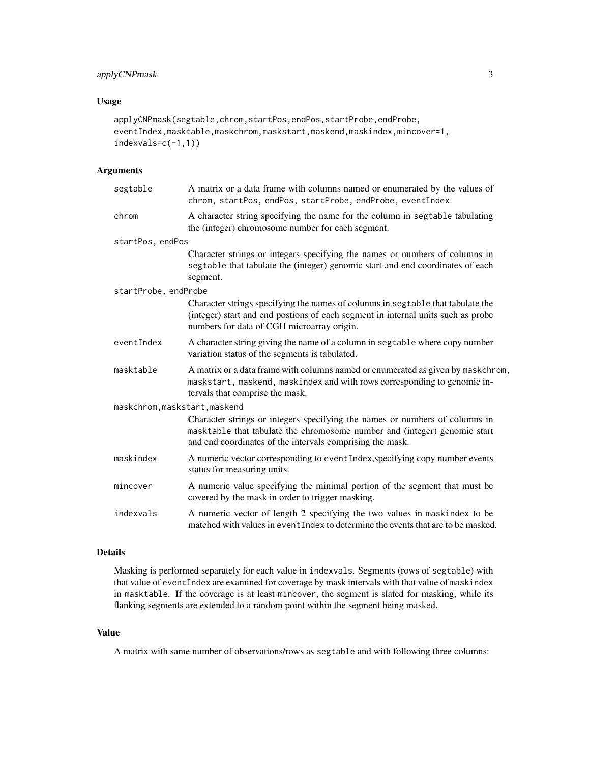### applyCNPmask 3

#### Usage

```
applyCNPmask(segtable,chrom,startPos,endPos,startProbe,endProbe,
eventIndex,masktable,maskchrom,maskstart,maskend,maskindex,mincover=1,
indexvals=c(-1,1))
```
### Arguments

| segtable                      | A matrix or a data frame with columns named or enumerated by the values of<br>chrom, startPos, endPos, startProbe, endProbe, eventIndex.                                                                              |  |
|-------------------------------|-----------------------------------------------------------------------------------------------------------------------------------------------------------------------------------------------------------------------|--|
| chrom                         | A character string specifying the name for the column in segtable tabulating<br>the (integer) chromosome number for each segment.                                                                                     |  |
| startPos, endPos              |                                                                                                                                                                                                                       |  |
|                               | Character strings or integers specifying the names or numbers of columns in<br>segtable that tabulate the (integer) genomic start and end coordinates of each<br>segment.                                             |  |
| startProbe, endProbe          |                                                                                                                                                                                                                       |  |
|                               | Character strings specifying the names of columns in segtable that tabulate the<br>(integer) start and end postions of each segment in internal units such as probe<br>numbers for data of CGH microarray origin.     |  |
| eventIndex                    | A character string giving the name of a column in segtable where copy number<br>variation status of the segments is tabulated.                                                                                        |  |
| masktable                     | A matrix or a data frame with columns named or enumerated as given by maskchrom,<br>maskstart, maskend, maskindex and with rows corresponding to genomic in-<br>tervals that comprise the mask.                       |  |
| maskchrom, maskstart, maskend |                                                                                                                                                                                                                       |  |
|                               | Character strings or integers specifying the names or numbers of columns in<br>masktable that tabulate the chromosome number and (integer) genomic start<br>and end coordinates of the intervals comprising the mask. |  |
| maskindex                     | A numeric vector corresponding to eventIndex, specifying copy number events<br>status for measuring units.                                                                                                            |  |
| mincover                      | A numeric value specifying the minimal portion of the segment that must be<br>covered by the mask in order to trigger masking.                                                                                        |  |
| indexvals                     | A numeric vector of length 2 specifying the two values in maskindex to be<br>matched with values in event Index to determine the events that are to be masked.                                                        |  |

#### Details

Masking is performed separately for each value in indexvals. Segments (rows of segtable) with that value of eventIndex are examined for coverage by mask intervals with that value of maskindex in masktable. If the coverage is at least mincover, the segment is slated for masking, while its flanking segments are extended to a random point within the segment being masked.

#### Value

A matrix with same number of observations/rows as segtable and with following three columns: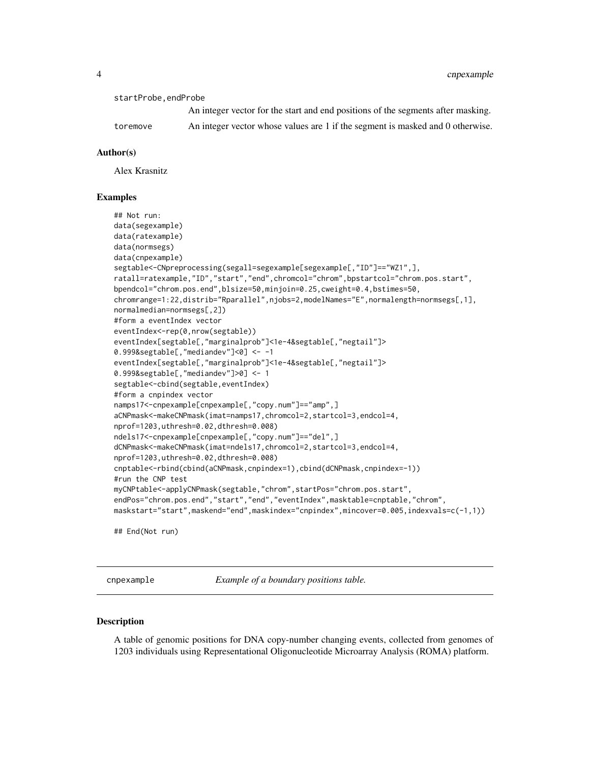<span id="page-3-0"></span>4 contract to the contract of the contract of the contract of the contract of the contract of the contract of the contract of the contract of the contract of the contract of the contract of the contract of the contract of

startProbe,endProbe

An integer vector for the start and end positions of the segments after masking. toremove An integer vector whose values are 1 if the segment is masked and 0 otherwise.

#### Author(s)

Alex Krasnitz

#### Examples

```
## Not run:
data(segexample)
data(ratexample)
data(normsegs)
data(cnpexample)
segtable<-CNpreprocessing(segall=segexample[segexample[,"ID"]=="WZ1",],
ratall=ratexample,"ID","start","end",chromcol="chrom",bpstartcol="chrom.pos.start",
bpendcol="chrom.pos.end",blsize=50,minjoin=0.25,cweight=0.4,bstimes=50,
chromrange=1:22,distrib="Rparallel",njobs=2,modelNames="E",normalength=normsegs[,1],
normalmedian=normsegs[,2])
#form a eventIndex vector
eventIndex<-rep(0,nrow(segtable))
eventIndex[segtable[,"marginalprob"]<1e-4&segtable[,"negtail"]>
0.999&segtable[,"mediandev"]<0] <- -1
eventIndex[segtable[,"marginalprob"]<1e-4&segtable[,"negtail"]>
0.999&segtable[,"mediandev"]>0] <- 1
segtable<-cbind(segtable,eventIndex)
#form a cnpindex vector
namps17<-cnpexample[cnpexample[,"copy.num"]=="amp",]
aCNPmask<-makeCNPmask(imat=namps17,chromcol=2,startcol=3,endcol=4,
nprof=1203,uthresh=0.02,dthresh=0.008)
ndels17<-cnpexample[cnpexample[,"copy.num"]=="del",]
dCNPmask<-makeCNPmask(imat=ndels17,chromcol=2,startcol=3,endcol=4,
nprof=1203,uthresh=0.02,dthresh=0.008)
cnptable<-rbind(cbind(aCNPmask,cnpindex=1),cbind(dCNPmask,cnpindex=-1))
#run the CNP test
myCNPtable<-applyCNPmask(segtable,"chrom",startPos="chrom.pos.start",
endPos="chrom.pos.end","start","end","eventIndex",masktable=cnptable,"chrom",
maskstart="start",maskend="end",maskindex="cnpindex",mincover=0.005,indexvals=c(-1,1))
## End(Not run)
```
cnpexample *Example of a boundary positions table.*

#### **Description**

A table of genomic positions for DNA copy-number changing events, collected from genomes of 1203 individuals using Representational Oligonucleotide Microarray Analysis (ROMA) platform.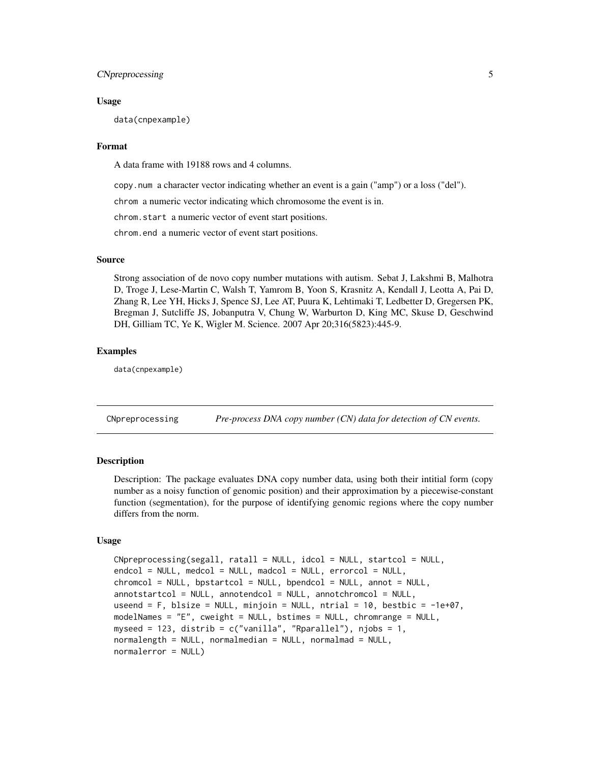#### <span id="page-4-0"></span>CNpreprocessing 5

#### Usage

data(cnpexample)

#### Format

A data frame with 19188 rows and 4 columns.

copy.num a character vector indicating whether an event is a gain ("amp") or a loss ("del").

chrom a numeric vector indicating which chromosome the event is in.

chrom.start a numeric vector of event start positions.

chrom.end a numeric vector of event start positions.

#### Source

Strong association of de novo copy number mutations with autism. Sebat J, Lakshmi B, Malhotra D, Troge J, Lese-Martin C, Walsh T, Yamrom B, Yoon S, Krasnitz A, Kendall J, Leotta A, Pai D, Zhang R, Lee YH, Hicks J, Spence SJ, Lee AT, Puura K, Lehtimaki T, Ledbetter D, Gregersen PK, Bregman J, Sutcliffe JS, Jobanputra V, Chung W, Warburton D, King MC, Skuse D, Geschwind DH, Gilliam TC, Ye K, Wigler M. Science. 2007 Apr 20;316(5823):445-9.

#### Examples

data(cnpexample)

CNpreprocessing *Pre-process DNA copy number (CN) data for detection of CN events.*

#### **Description**

Description: The package evaluates DNA copy number data, using both their intitial form (copy number as a noisy function of genomic position) and their approximation by a piecewise-constant function (segmentation), for the purpose of identifying genomic regions where the copy number differs from the norm.

#### Usage

```
CNpreprocessing(segall, ratall = NULL, idcol = NULL, startcol = NULL,
endcol = NULL, medcol = NULL, madcol = NULL, errorcol = NULL,
chromcol = NULL, bpstartcol = NULL, bpendcol = NULL, annot = NULL,
annotstructor = NULL, annotendcol = NULL, annotchromcol = NULL,
useend = F, blsize = NULL, minjoin = NULL, ntrial = 10, bestbic = -ie+07,
modelNames = "E", cweight = NULL, bstimes = NULL, chromrange = NULL,
myseed = 123, distrib = c("vanilla", "Rparallel"), njobs = 1,normalength = NULL, normalmedian = NULL, normalmad = NULL,
normalerror = NULL)
```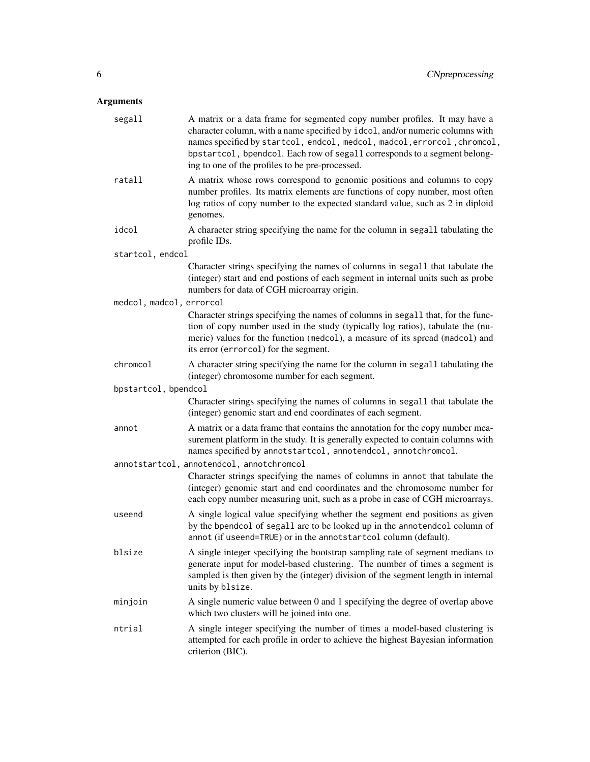# Arguments

| segall                   | A matrix or a data frame for segmented copy number profiles. It may have a<br>character column, with a name specified by idcol, and/or numeric columns with<br>names specified by startcol, endcol, medcol, madcol, errorcol, chromcol,<br>bpstartcol, bpendcol. Each row of segall corresponds to a segment belong-<br>ing to one of the profiles to be pre-processed. |
|--------------------------|-------------------------------------------------------------------------------------------------------------------------------------------------------------------------------------------------------------------------------------------------------------------------------------------------------------------------------------------------------------------------|
| ratall                   | A matrix whose rows correspond to genomic positions and columns to copy<br>number profiles. Its matrix elements are functions of copy number, most often<br>log ratios of copy number to the expected standard value, such as 2 in diploid<br>genomes.                                                                                                                  |
| idcol                    | A character string specifying the name for the column in segall tabulating the<br>profile IDs.                                                                                                                                                                                                                                                                          |
| startcol, endcol         |                                                                                                                                                                                                                                                                                                                                                                         |
|                          | Character strings specifying the names of columns in segall that tabulate the<br>(integer) start and end postions of each segment in internal units such as probe<br>numbers for data of CGH microarray origin.                                                                                                                                                         |
| medcol, madcol, errorcol |                                                                                                                                                                                                                                                                                                                                                                         |
|                          | Character strings specifying the names of columns in segall that, for the func-<br>tion of copy number used in the study (typically log ratios), tabulate the (nu-<br>meric) values for the function (medcol), a measure of its spread (madcol) and<br>its error (errorcol) for the segment.                                                                            |
| chromcol                 | A character string specifying the name for the column in segall tabulating the<br>(integer) chromosome number for each segment.                                                                                                                                                                                                                                         |
| bpstartcol, bpendcol     |                                                                                                                                                                                                                                                                                                                                                                         |
|                          | Character strings specifying the names of columns in segall that tabulate the<br>(integer) genomic start and end coordinates of each segment.                                                                                                                                                                                                                           |
| annot                    | A matrix or a data frame that contains the annotation for the copy number mea-<br>surement platform in the study. It is generally expected to contain columns with<br>names specified by annotstartcol, annotendcol, annotchromcol.                                                                                                                                     |
|                          | annotstartcol, annotendcol, annotchromcol                                                                                                                                                                                                                                                                                                                               |
|                          | Character strings specifying the names of columns in annot that tabulate the<br>(integer) genomic start and end coordinates and the chromosome number for<br>each copy number measuring unit, such as a probe in case of CGH microarrays.                                                                                                                               |
| useend                   | A single logical value specifying whether the segment end positions as given<br>by the bpendcol of segall are to be looked up in the annotendcol column of<br>annot (if useend=TRUE) or in the annotstartcol column (default).                                                                                                                                          |
| blsize                   | A single integer specifying the bootstrap sampling rate of segment medians to<br>generate input for model-based clustering. The number of times a segment is<br>sampled is then given by the (integer) division of the segment length in internal<br>units by blsize.                                                                                                   |
| minjoin                  | A single numeric value between 0 and 1 specifying the degree of overlap above<br>which two clusters will be joined into one.                                                                                                                                                                                                                                            |
| ntrial                   | A single integer specifying the number of times a model-based clustering is<br>attempted for each profile in order to achieve the highest Bayesian information<br>criterion (BIC).                                                                                                                                                                                      |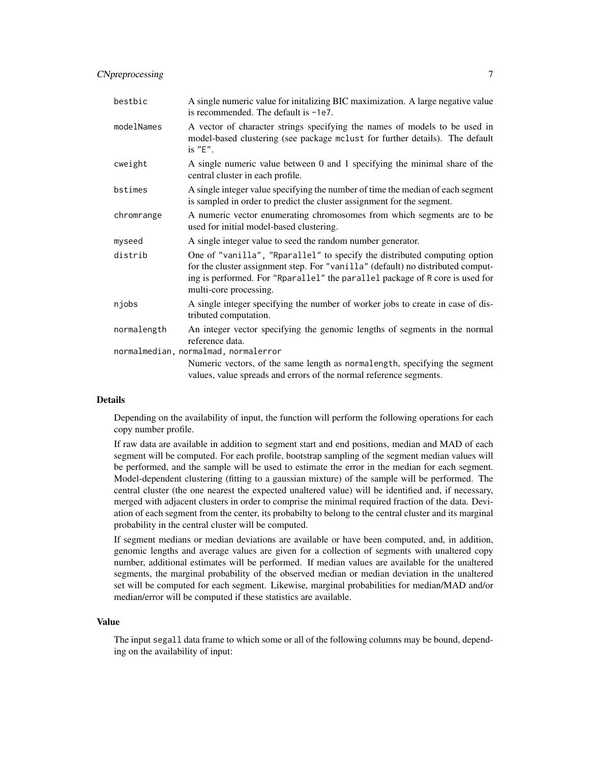### CNpreprocessing 7

| bestbic                              | A single numeric value for initalizing BIC maximization. A large negative value<br>is recommended. The default is -1e7.                                                                                                                                                |  |
|--------------------------------------|------------------------------------------------------------------------------------------------------------------------------------------------------------------------------------------------------------------------------------------------------------------------|--|
| modelNames                           | A vector of character strings specifying the names of models to be used in<br>model-based clustering (see package mclust for further details). The default<br>is $"E"$ .                                                                                               |  |
| cweight                              | A single numeric value between 0 and 1 specifying the minimal share of the<br>central cluster in each profile.                                                                                                                                                         |  |
| bstimes                              | A single integer value specifying the number of time the median of each segment<br>is sampled in order to predict the cluster assignment for the segment.                                                                                                              |  |
| chromrange                           | A numeric vector enumerating chromosomes from which segments are to be<br>used for initial model-based clustering.                                                                                                                                                     |  |
| myseed                               | A single integer value to seed the random number generator.                                                                                                                                                                                                            |  |
| distrib                              | One of "vanilla", "Rparallel" to specify the distributed computing option<br>for the cluster assignment step. For "vanilla" (default) no distributed comput-<br>ing is performed. For "Rparallel" the parallel package of R core is used for<br>multi-core processing. |  |
| njobs                                | A single integer specifying the number of worker jobs to create in case of dis-<br>tributed computation.                                                                                                                                                               |  |
| normalength                          | An integer vector specifying the genomic lengths of segments in the normal<br>reference data.                                                                                                                                                                          |  |
| normalmedian, normalmad, normalerror |                                                                                                                                                                                                                                                                        |  |
|                                      | Numeric vectors, of the same length as normal ength, specifying the segment<br>values, value spreads and errors of the normal reference segments.                                                                                                                      |  |

#### Details

Depending on the availability of input, the function will perform the following operations for each copy number profile.

If raw data are available in addition to segment start and end positions, median and MAD of each segment will be computed. For each profile, bootstrap sampling of the segment median values will be performed, and the sample will be used to estimate the error in the median for each segment. Model-dependent clustering (fitting to a gaussian mixture) of the sample will be performed. The central cluster (the one nearest the expected unaltered value) will be identified and, if necessary, merged with adjacent clusters in order to comprise the minimal required fraction of the data. Deviation of each segment from the center, its probabilty to belong to the central cluster and its marginal probability in the central cluster will be computed.

If segment medians or median deviations are available or have been computed, and, in addition, genomic lengths and average values are given for a collection of segments with unaltered copy number, additional estimates will be performed. If median values are available for the unaltered segments, the marginal probability of the observed median or median deviation in the unaltered set will be computed for each segment. Likewise, marginal probabilities for median/MAD and/or median/error will be computed if these statistics are available.

#### Value

The input segall data frame to which some or all of the following columns may be bound, depending on the availability of input: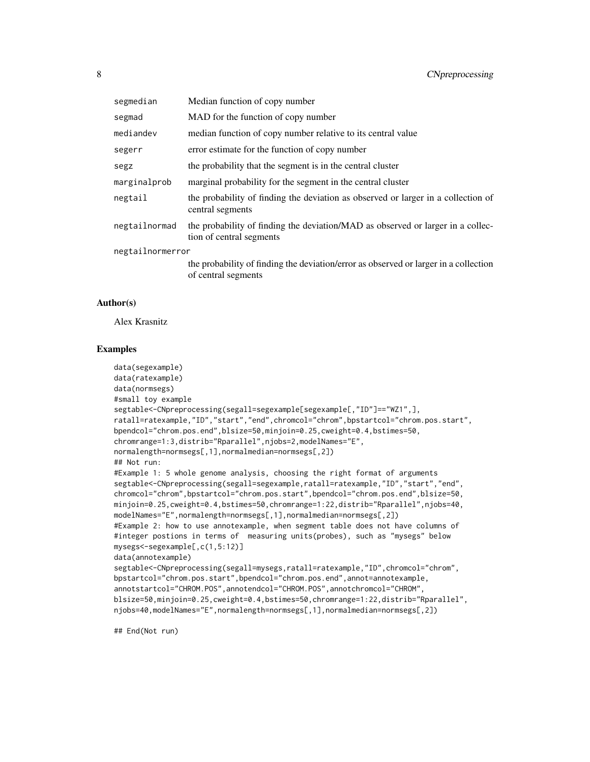| segmedian        | Median function of copy number                                                                              |  |
|------------------|-------------------------------------------------------------------------------------------------------------|--|
| segmad           | MAD for the function of copy number                                                                         |  |
| mediandev        | median function of copy number relative to its central value                                                |  |
| segerr           | error estimate for the function of copy number                                                              |  |
| segz             | the probability that the segment is in the central cluster                                                  |  |
| marginalprob     | marginal probability for the segment in the central cluster                                                 |  |
| negtail          | the probability of finding the deviation as observed or larger in a collection of<br>central segments       |  |
| negtailnormad    | the probability of finding the deviation/MAD as observed or larger in a collec-<br>tion of central segments |  |
| negtailnormerror |                                                                                                             |  |
|                  | the probability of finding the deviation/error as observed or larger in a collection<br>of central segments |  |

#### Author(s)

Alex Krasnitz

#### Examples

```
data(segexample)
data(ratexample)
data(normsegs)
#small toy example
segtable<-CNpreprocessing(segall=segexample[segexample[,"ID"]=="WZ1",],
ratall=ratexample,"ID","start","end",chromcol="chrom",bpstartcol="chrom.pos.start",
bpendcol="chrom.pos.end",blsize=50,minjoin=0.25,cweight=0.4,bstimes=50,
chromrange=1:3,distrib="Rparallel",njobs=2,modelNames="E",
normalength=normsegs[,1],normalmedian=normsegs[,2])
## Not run:
#Example 1: 5 whole genome analysis, choosing the right format of arguments
segtable<-CNpreprocessing(segall=segexample,ratall=ratexample,"ID","start","end",
chromcol="chrom",bpstartcol="chrom.pos.start",bpendcol="chrom.pos.end",blsize=50,
minjoin=0.25,cweight=0.4,bstimes=50,chromrange=1:22,distrib="Rparallel",njobs=40,
modelNames="E",normalength=normsegs[,1],normalmedian=normsegs[,2])
#Example 2: how to use annotexample, when segment table does not have columns of
#integer postions in terms of measuring units(probes), such as "mysegs" below
mysegs<-segexample[,c(1,5:12)]
data(annotexample)
segtable<-CNpreprocessing(segall=mysegs,ratall=ratexample,"ID",chromcol="chrom",
bpstartcol="chrom.pos.start",bpendcol="chrom.pos.end",annot=annotexample,
annotstartcol="CHROM.POS",annotendcol="CHROM.POS",annotchromcol="CHROM",
blsize=50,minjoin=0.25,cweight=0.4,bstimes=50,chromrange=1:22,distrib="Rparallel",
njobs=40,modelNames="E",normalength=normsegs[,1],normalmedian=normsegs[,2])
```
## End(Not run)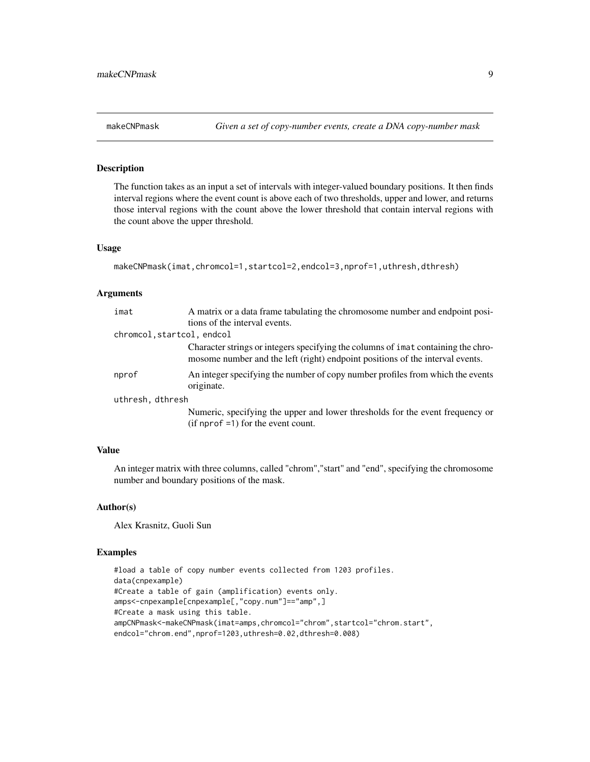The function takes as an input a set of intervals with integer-valued boundary positions. It then finds interval regions where the event count is above each of two thresholds, upper and lower, and returns those interval regions with the count above the lower threshold that contain interval regions with the count above the upper threshold.

#### Usage

```
makeCNPmask(imat,chromcol=1,startcol=2,endcol=3,nprof=1,uthresh,dthresh)
```
#### Arguments

| imat                       | A matrix or a data frame tabulating the chromosome number and endpoint posi-                                                                                       |  |  |  |
|----------------------------|--------------------------------------------------------------------------------------------------------------------------------------------------------------------|--|--|--|
|                            | tions of the interval events.                                                                                                                                      |  |  |  |
| chromcol, startcol, endcol |                                                                                                                                                                    |  |  |  |
|                            | Character strings or integers specifying the columns of imat containing the chro-<br>mosome number and the left (right) endpoint positions of the interval events. |  |  |  |
| nprof                      | An integer specifying the number of copy number profiles from which the events<br>originate.                                                                       |  |  |  |
| uthresh, dthresh           |                                                                                                                                                                    |  |  |  |
|                            | Numeric, specifying the upper and lower thresholds for the event frequency or<br>$(if nprof = 1) for the event count.$                                             |  |  |  |

### Value

An integer matrix with three columns, called "chrom","start" and "end", specifying the chromosome number and boundary positions of the mask.

#### Author(s)

Alex Krasnitz, Guoli Sun

#### Examples

```
#load a table of copy number events collected from 1203 profiles.
data(cnpexample)
#Create a table of gain (amplification) events only.
amps<-cnpexample[cnpexample[,"copy.num"]=="amp",]
#Create a mask using this table.
ampCNPmask<-makeCNPmask(imat=amps,chromcol="chrom",startcol="chrom.start",
endcol="chrom.end",nprof=1203,uthresh=0.02,dthresh=0.008)
```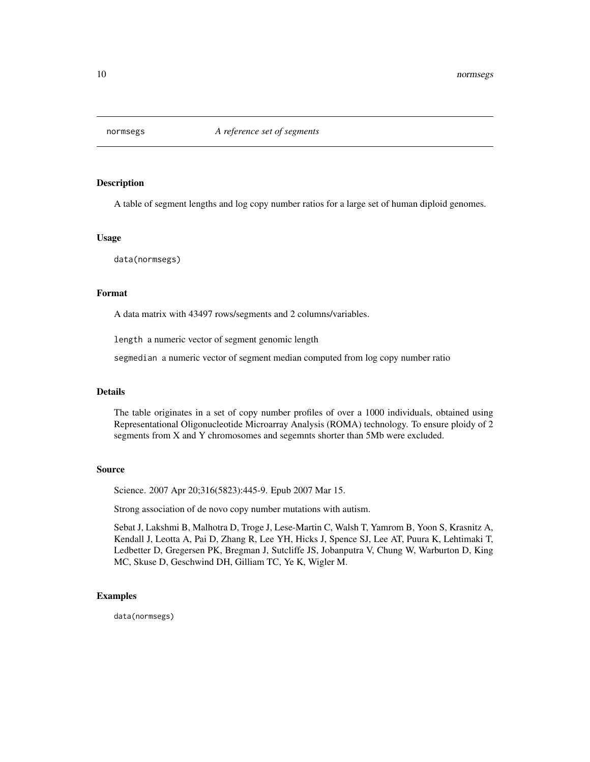<span id="page-9-0"></span>

A table of segment lengths and log copy number ratios for a large set of human diploid genomes.

#### Usage

data(normsegs)

#### Format

A data matrix with 43497 rows/segments and 2 columns/variables.

length a numeric vector of segment genomic length

segmedian a numeric vector of segment median computed from log copy number ratio

#### Details

The table originates in a set of copy number profiles of over a 1000 individuals, obtained using Representational Oligonucleotide Microarray Analysis (ROMA) technology. To ensure ploidy of 2 segments from X and Y chromosomes and segemnts shorter than 5Mb were excluded.

#### Source

Science. 2007 Apr 20;316(5823):445-9. Epub 2007 Mar 15.

Strong association of de novo copy number mutations with autism.

Sebat J, Lakshmi B, Malhotra D, Troge J, Lese-Martin C, Walsh T, Yamrom B, Yoon S, Krasnitz A, Kendall J, Leotta A, Pai D, Zhang R, Lee YH, Hicks J, Spence SJ, Lee AT, Puura K, Lehtimaki T, Ledbetter D, Gregersen PK, Bregman J, Sutcliffe JS, Jobanputra V, Chung W, Warburton D, King MC, Skuse D, Geschwind DH, Gilliam TC, Ye K, Wigler M.

#### Examples

data(normsegs)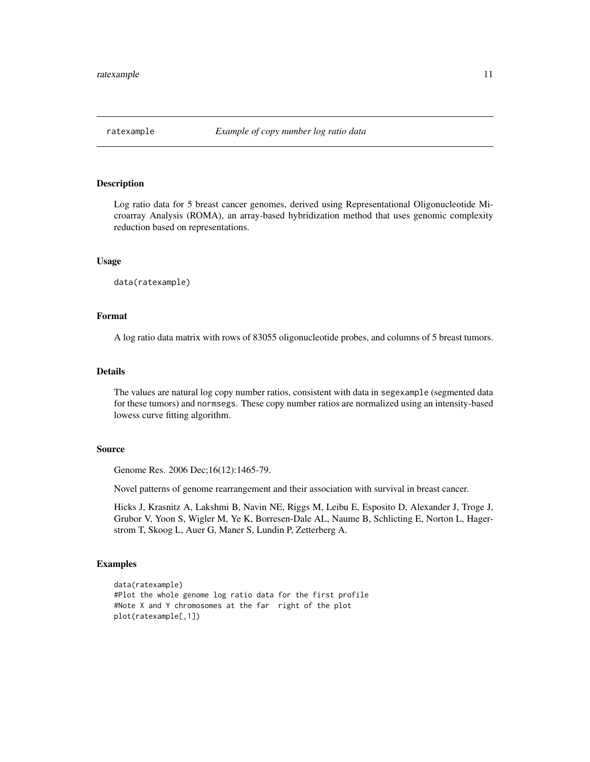<span id="page-10-0"></span>

Log ratio data for 5 breast cancer genomes, derived using Representational Oligonucleotide Microarray Analysis (ROMA), an array-based hybridization method that uses genomic complexity reduction based on representations.

#### Usage

data(ratexample)

#### Format

A log ratio data matrix with rows of 83055 oligonucleotide probes, and columns of 5 breast tumors.

#### Details

The values are natural log copy number ratios, consistent with data in segexample (segmented data for these tumors) and normsegs. These copy number ratios are normalized using an intensity-based lowess curve fitting algorithm.

#### Source

Genome Res. 2006 Dec;16(12):1465-79.

Novel patterns of genome rearrangement and their association with survival in breast cancer.

Hicks J, Krasnitz A, Lakshmi B, Navin NE, Riggs M, Leibu E, Esposito D, Alexander J, Troge J, Grubor V, Yoon S, Wigler M, Ye K, Borresen-Dale AL, Naume B, Schlicting E, Norton L, Hagerstrom T, Skoog L, Auer G, Maner S, Lundin P, Zetterberg A.

#### Examples

```
data(ratexample)
#Plot the whole genome log ratio data for the first profile
#Note X and Y chromosomes at the far right of the plot
plot(ratexample[,1])
```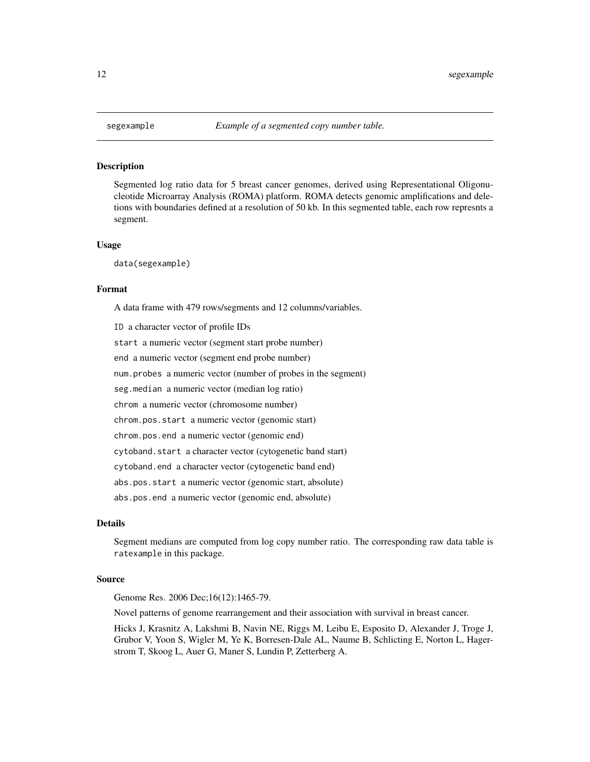<span id="page-11-0"></span>Segmented log ratio data for 5 breast cancer genomes, derived using Representational Oligonucleotide Microarray Analysis (ROMA) platform. ROMA detects genomic amplifications and deletions with boundaries defined at a resolution of 50 kb. In this segmented table, each row represnts a segment.

#### Usage

data(segexample)

#### Format

A data frame with 479 rows/segments and 12 columns/variables.

ID a character vector of profile IDs start a numeric vector (segment start probe number) end a numeric vector (segment end probe number) num.probes a numeric vector (number of probes in the segment) seg.median a numeric vector (median log ratio) chrom a numeric vector (chromosome number) chrom.pos.start a numeric vector (genomic start) chrom.pos.end a numeric vector (genomic end) cytoband.start a character vector (cytogenetic band start) cytoband.end a character vector (cytogenetic band end) abs.pos.start a numeric vector (genomic start, absolute) abs.pos.end a numeric vector (genomic end, absolute)

#### Details

Segment medians are computed from log copy number ratio. The corresponding raw data table is ratexample in this package.

#### Source

Genome Res. 2006 Dec;16(12):1465-79.

Novel patterns of genome rearrangement and their association with survival in breast cancer.

Hicks J, Krasnitz A, Lakshmi B, Navin NE, Riggs M, Leibu E, Esposito D, Alexander J, Troge J, Grubor V, Yoon S, Wigler M, Ye K, Borresen-Dale AL, Naume B, Schlicting E, Norton L, Hagerstrom T, Skoog L, Auer G, Maner S, Lundin P, Zetterberg A.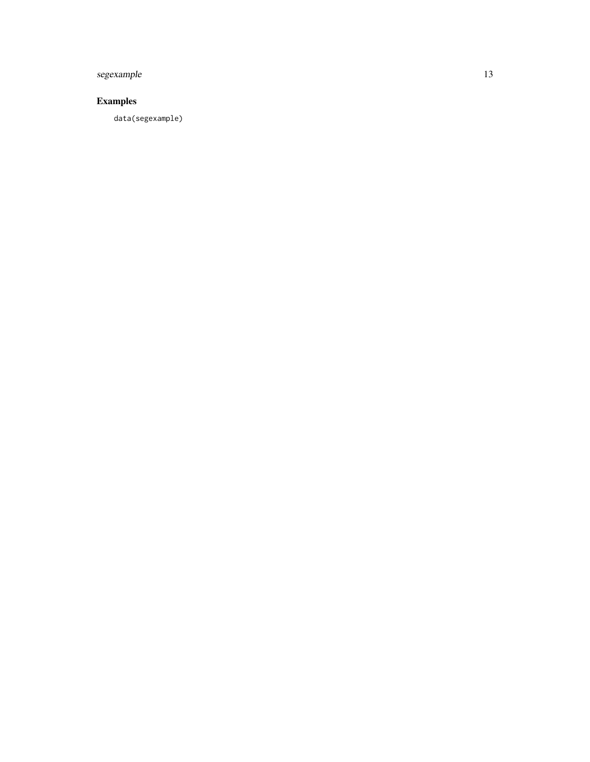# segexample 13

# Examples

data(segexample)